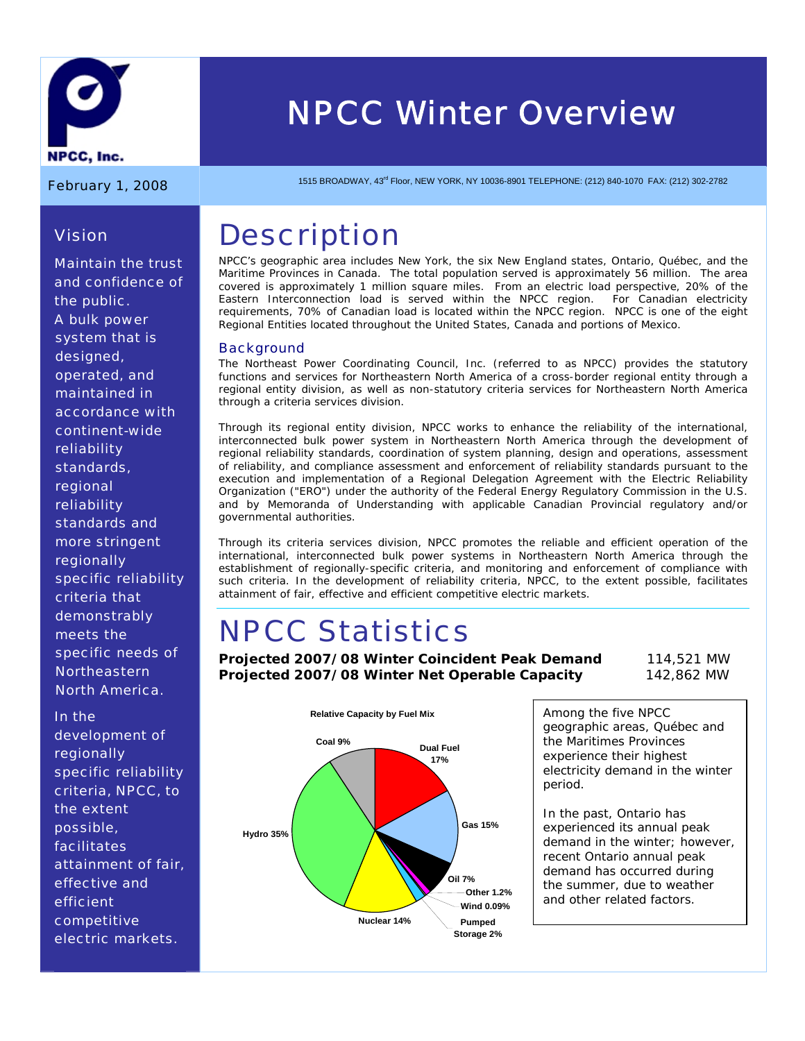

*Vision* 

# *NPCC Winter Overview*

February 1, 2008 1515 BROADWAY, 43<sup>rd</sup> Floor, NEW YORK, NY 10036-8901 TELEPHONE: (212) 840-1070 FAX: (212) 302-2782

### **Description**

NPCC's geographic area includes New York, the six New England states, Ontario, Québec, and the Maritime Provinces in Canada. The total population served is approximately 56 million. The area covered is approximately 1 million square miles. From an electric load perspective, 20% of the Eastern Interconnection load is served within the NPCC region. For Canadian electricity requirements, 70% of Canadian load is located within the NPCC region. NPCC is one of the eight Regional Entities located throughout the United States, Canada and portions of Mexico.

#### **Background**

The Northeast Power Coordinating Council, Inc. (referred to as NPCC) provides the statutory functions and services for Northeastern North America of a cross-border regional entity through a regional entity division, as well as non-statutory criteria services for Northeastern North America through a criteria services division.

Through its regional entity division, NPCC works to enhance the reliability of the international, interconnected bulk power system in Northeastern North America through the development of regional reliability standards, coordination of system planning, design and operations, assessment of reliability, and compliance assessment and enforcement of reliability standards pursuant to the execution and implementation of a Regional Delegation Agreement with the Electric Reliability Organization ("ERO") under the authority of the Federal Energy Regulatory Commission in the U.S. and by Memoranda of Understanding with applicable Canadian Provincial regulatory and/or governmental authorities.

Through its criteria services division, NPCC promotes the reliable and efficient operation of the international, interconnected bulk power systems in Northeastern North America through the establishment of regionally-specific criteria, and monitoring and enforcement of compliance with such criteria. In the development of reliability criteria, NPCC, to the extent possible, facilitates attainment of fair, effective and efficient competitive electric markets.

# NPCC Statistics

**Projected 2007/08 Winter Coincident Peak Demand** 114,521 MW **Projected 2007/08 Winter Net Operable Capacity** 142,862 MW



Among the five NPCC geographic areas, Québec and the Maritimes Provinces experience their highest electricity demand in the winter period.

In the past, Ontario has experienced its annual peak demand in the winter; however, recent Ontario annual peak demand has occurred during the summer, due to weather and other related factors.

*Maintain the trust and confidence of the public. A bulk power system that is designed, operated, and maintained in accordance with continent-wide reliability standards, regional reliability standards and more stringent regionally specific reliability criteria that demonstrably meets the specific needs of Northeastern North America.* 

*In the development of regionally specific reliability criteria, NPCC, to the extent possible, facilitates attainment of fair, effective and efficient competitive electric markets.*